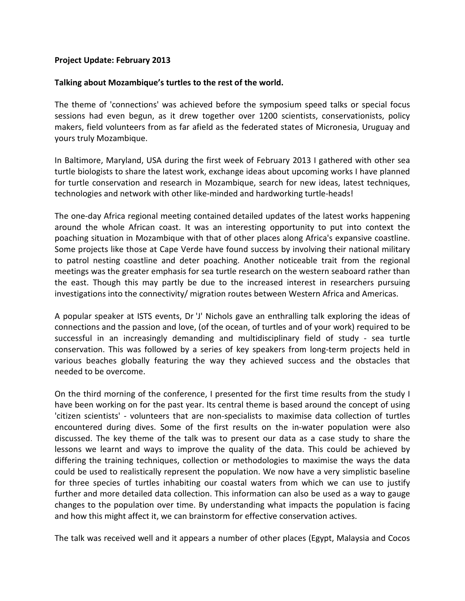## **Project Update: February 2013**

## **Talking about Mozambique's turtles to the rest of the world.**

The theme of 'connections' was achieved before the symposium speed talks or special focus sessions had even begun, as it drew together over 1200 scientists, conservationists, policy makers, field volunteers from as far afield as the federated states of Micronesia, Uruguay and yours truly Mozambique.

In Baltimore, Maryland, USA during the first week of February 2013 I gathered with other sea turtle biologists to share the latest work, exchange ideas about upcoming works I have planned for turtle conservation and research in Mozambique, search for new ideas, latest techniques, technologies and network with other like-minded and hardworking turtle-heads!

The one-day Africa regional meeting contained detailed updates of the latest works happening around the whole African coast. It was an interesting opportunity to put into context the poaching situation in Mozambique with that of other places along Africa's expansive coastline. Some projects like those at Cape Verde have found success by involving their national military to patrol nesting coastline and deter poaching. Another noticeable trait from the regional meetings was the greater emphasis for sea turtle research on the western seaboard rather than the east. Though this may partly be due to the increased interest in researchers pursuing investigations into the connectivity/ migration routes between Western Africa and Americas.

A popular speaker at ISTS events, Dr 'J' Nichols gave an enthralling talk exploring the ideas of connections and the passion and love, (of the ocean, of turtles and of your work) required to be successful in an increasingly demanding and multidisciplinary field of study - sea turtle conservation. This was followed by a series of key speakers from long-term projects held in various beaches globally featuring the way they achieved success and the obstacles that needed to be overcome.

On the third morning of the conference, I presented for the first time results from the study I have been working on for the past year. Its central theme is based around the concept of using 'citizen scientists' - volunteers that are non-specialists to maximise data collection of turtles encountered during dives. Some of the first results on the in-water population were also discussed. The key theme of the talk was to present our data as a case study to share the lessons we learnt and ways to improve the quality of the data. This could be achieved by differing the training techniques, collection or methodologies to maximise the ways the data could be used to realistically represent the population. We now have a very simplistic baseline for three species of turtles inhabiting our coastal waters from which we can use to justify further and more detailed data collection. This information can also be used as a way to gauge changes to the population over time. By understanding what impacts the population is facing and how this might affect it, we can brainstorm for effective conservation actives.

The talk was received well and it appears a number of other places (Egypt, Malaysia and Cocos